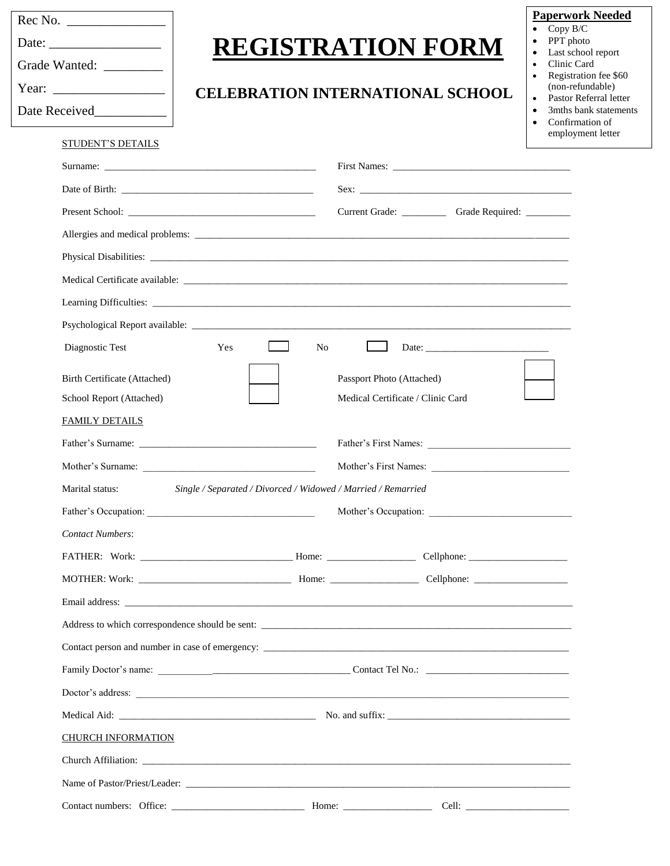| Grade Wanted: _________                                                           |                                                                                                                                                                                                                                | <b>REGISTRATION FORM</b><br><b>CELEBRATION INTERNATIONAL SCHOOL</b> |                                                                                                                                                                                                                                | <b>Paperwork Needed</b><br>Copy B/C<br>$\bullet$<br>PPT photo<br>Last school report<br>$\bullet$<br>Clinic Card<br>$\bullet$<br>Registration fee \$60<br>$\bullet$<br>(non-refundable)<br>Pastor Referral letter<br>$\bullet$<br>3mths bank statements<br>$\bullet$ |                                      |
|-----------------------------------------------------------------------------------|--------------------------------------------------------------------------------------------------------------------------------------------------------------------------------------------------------------------------------|---------------------------------------------------------------------|--------------------------------------------------------------------------------------------------------------------------------------------------------------------------------------------------------------------------------|---------------------------------------------------------------------------------------------------------------------------------------------------------------------------------------------------------------------------------------------------------------------|--------------------------------------|
|                                                                                   |                                                                                                                                                                                                                                |                                                                     |                                                                                                                                                                                                                                | $\bullet$                                                                                                                                                                                                                                                           | Confirmation of<br>employment letter |
| <b>STUDENT'S DETAILS</b>                                                          |                                                                                                                                                                                                                                |                                                                     |                                                                                                                                                                                                                                |                                                                                                                                                                                                                                                                     |                                      |
|                                                                                   |                                                                                                                                                                                                                                |                                                                     |                                                                                                                                                                                                                                |                                                                                                                                                                                                                                                                     |                                      |
|                                                                                   |                                                                                                                                                                                                                                |                                                                     | Current Grade: Current Grade: Current Grade: Current Grade: Current Grade: Current Grade: Current Grade: Current Grade: Current Grade: Current Grade: Current Grade: Current Grade: Current Grade: Current Grade: Current Grad |                                                                                                                                                                                                                                                                     |                                      |
|                                                                                   |                                                                                                                                                                                                                                |                                                                     |                                                                                                                                                                                                                                |                                                                                                                                                                                                                                                                     |                                      |
|                                                                                   |                                                                                                                                                                                                                                |                                                                     |                                                                                                                                                                                                                                |                                                                                                                                                                                                                                                                     |                                      |
|                                                                                   | Medical Certificate available: Note that the set of the set of the set of the set of the set of the set of the set of the set of the set of the set of the set of the set of the set of the set of the set of the set of the s |                                                                     |                                                                                                                                                                                                                                |                                                                                                                                                                                                                                                                     |                                      |
|                                                                                   |                                                                                                                                                                                                                                |                                                                     |                                                                                                                                                                                                                                |                                                                                                                                                                                                                                                                     |                                      |
|                                                                                   |                                                                                                                                                                                                                                |                                                                     |                                                                                                                                                                                                                                |                                                                                                                                                                                                                                                                     |                                      |
| Diagnostic Test                                                                   | Yes<br>N <sub>0</sub>                                                                                                                                                                                                          |                                                                     | Date:                                                                                                                                                                                                                          |                                                                                                                                                                                                                                                                     |                                      |
| Birth Certificate (Attached)<br>School Report (Attached)<br><b>FAMILY DETAILS</b> |                                                                                                                                                                                                                                | Passport Photo (Attached)<br>Medical Certificate / Clinic Card      |                                                                                                                                                                                                                                |                                                                                                                                                                                                                                                                     |                                      |
|                                                                                   | Father's Surname:                                                                                                                                                                                                              |                                                                     | Father's First Names:                                                                                                                                                                                                          |                                                                                                                                                                                                                                                                     |                                      |
|                                                                                   | Mother's Surname:                                                                                                                                                                                                              |                                                                     |                                                                                                                                                                                                                                |                                                                                                                                                                                                                                                                     |                                      |
| Marital status:                                                                   | Single / Separated / Divorced / Widowed / Married / Remarried                                                                                                                                                                  |                                                                     |                                                                                                                                                                                                                                |                                                                                                                                                                                                                                                                     |                                      |
|                                                                                   |                                                                                                                                                                                                                                |                                                                     |                                                                                                                                                                                                                                |                                                                                                                                                                                                                                                                     |                                      |
| <b>Contact Numbers:</b>                                                           |                                                                                                                                                                                                                                |                                                                     |                                                                                                                                                                                                                                |                                                                                                                                                                                                                                                                     |                                      |
|                                                                                   |                                                                                                                                                                                                                                |                                                                     |                                                                                                                                                                                                                                |                                                                                                                                                                                                                                                                     |                                      |
|                                                                                   |                                                                                                                                                                                                                                |                                                                     |                                                                                                                                                                                                                                |                                                                                                                                                                                                                                                                     |                                      |
|                                                                                   |                                                                                                                                                                                                                                |                                                                     |                                                                                                                                                                                                                                |                                                                                                                                                                                                                                                                     |                                      |
|                                                                                   |                                                                                                                                                                                                                                |                                                                     |                                                                                                                                                                                                                                |                                                                                                                                                                                                                                                                     |                                      |
|                                                                                   |                                                                                                                                                                                                                                |                                                                     |                                                                                                                                                                                                                                |                                                                                                                                                                                                                                                                     |                                      |
|                                                                                   |                                                                                                                                                                                                                                |                                                                     |                                                                                                                                                                                                                                |                                                                                                                                                                                                                                                                     |                                      |
|                                                                                   |                                                                                                                                                                                                                                |                                                                     |                                                                                                                                                                                                                                |                                                                                                                                                                                                                                                                     |                                      |
|                                                                                   |                                                                                                                                                                                                                                |                                                                     |                                                                                                                                                                                                                                |                                                                                                                                                                                                                                                                     |                                      |
| <b>CHURCH INFORMATION</b>                                                         |                                                                                                                                                                                                                                |                                                                     |                                                                                                                                                                                                                                |                                                                                                                                                                                                                                                                     |                                      |
|                                                                                   |                                                                                                                                                                                                                                |                                                                     |                                                                                                                                                                                                                                |                                                                                                                                                                                                                                                                     |                                      |

| Name of Pastor/Priest/Leader: |  |
|-------------------------------|--|
|-------------------------------|--|

Contact numbers: Office: \_\_\_\_\_\_\_\_\_\_\_\_\_\_\_\_\_\_\_\_\_\_\_\_\_\_\_ Home: \_\_\_\_\_\_\_\_\_\_\_\_\_\_\_\_\_\_ Cell: \_\_\_\_\_\_\_\_\_\_\_\_\_\_\_\_\_\_\_\_\_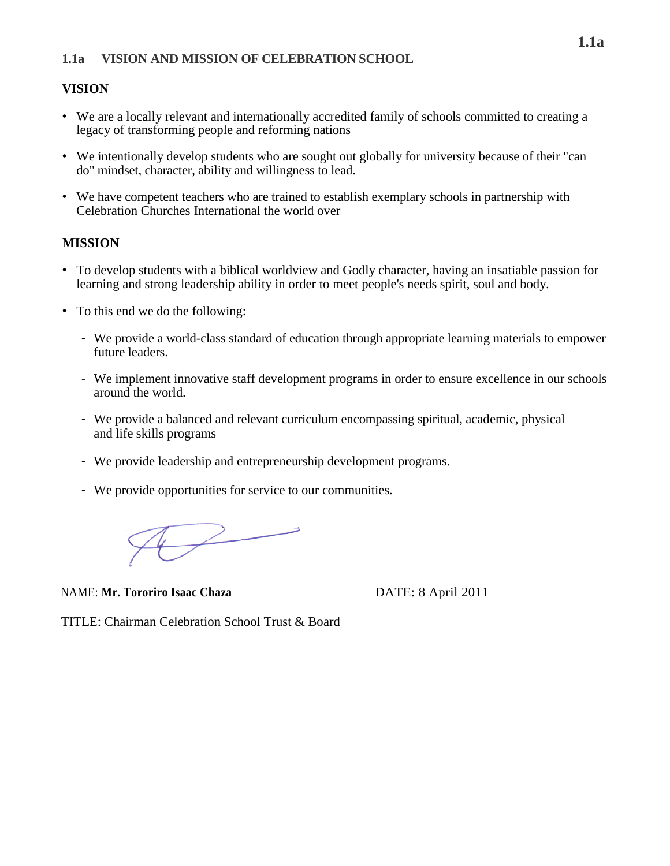## **VISION**

- We are a locally relevant and internationally accredited family of schools committed to creating a legacy of transforming people and reforming nations
- We intentionally develop students who are sought out globally for university because of their "can do" mindset, character, ability and willingness to lead.
- We have competent teachers who are trained to establish exemplary schools in partnership with Celebration Churches International the world over

## **MISSION**

- To develop students with a biblical worldview and Godly character, having an insatiable passion for learning and strong leadership ability in order to meet people's needs spirit, soul and body.
- To this end we do the following:
	- We provide a world-class standard of education through appropriate learning materials to empower future leaders.
	- We implement innovative staff development programs in order to ensure excellence in our schools around the world.
	- We provide a balanced and relevant curriculum encompassing spiritual, academic, physical and life skills programs
	- We provide leadership and entrepreneurship development programs.
	- We provide opportunities for service to our communities.

 $\sqrt{2}$ 

NAME: Mr. Tororiro Isaac Chaza<br>
DATE: 8 April 2011

TITLE: Chairman Celebration School Trust & Board